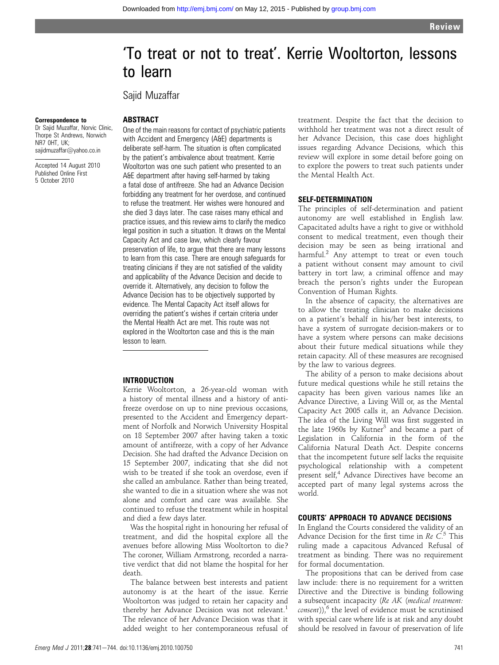# 'To treat or not to treat'. Kerrie Wooltorton, lessons to learn

Sajid Muzaffar

#### Correspondence to

Dr Sajid Muzaffar, Norvic Clinic, Thorpe St Andrews, Norwich NR7 0HT, UK; sajidmuzaffar@yahoo.co.in

Accepted 14 August 2010 Published Online First 5 October 2010

### ABSTRACT

One of the main reasons for contact of psychiatric patients with Accident and Emergency (A&E) departments is deliberate self-harm. The situation is often complicated by the patient's ambivalence about treatment. Kerrie Wooltorton was one such patient who presented to an A&E department after having self-harmed by taking a fatal dose of antifreeze. She had an Advance Decision forbidding any treatment for her overdose, and continued to refuse the treatment. Her wishes were honoured and she died 3 days later. The case raises many ethical and practice issues, and this review aims to clarify the medico legal position in such a situation. It draws on the Mental Capacity Act and case law, which clearly favour preservation of life, to argue that there are many lessons to learn from this case. There are enough safeguards for treating clinicians if they are not satisfied of the validity and applicability of the Advance Decision and decide to override it. Alternatively, any decision to follow the Advance Decision has to be objectively supported by evidence. The Mental Capacity Act itself allows for overriding the patient's wishes if certain criteria under the Mental Health Act are met. This route was not explored in the Wooltorton case and this is the main lesson to learn.

### INTRODUCTION

Kerrie Wooltorton, a 26-year-old woman with a history of mental illness and a history of antifreeze overdose on up to nine previous occasions, presented to the Accident and Emergency department of Norfolk and Norwich University Hospital on 18 September 2007 after having taken a toxic amount of antifreeze, with a copy of her Advance Decision. She had drafted the Advance Decision on 15 September 2007, indicating that she did not wish to be treated if she took an overdose, even if she called an ambulance. Rather than being treated, she wanted to die in a situation where she was not alone and comfort and care was available. She continued to refuse the treatment while in hospital and died a few days later.

Was the hospital right in honouring her refusal of treatment, and did the hospital explore all the avenues before allowing Miss Wooltorton to die? The coroner, William Armstrong, recorded a narrative verdict that did not blame the hospital for her death.

The balance between best interests and patient autonomy is at the heart of the issue. Kerrie Wooltorton was judged to retain her capacity and thereby her Advance Decision was not relevant.<sup>1</sup> The relevance of her Advance Decision was that it added weight to her contemporaneous refusal of treatment. Despite the fact that the decision to withhold her treatment was not a direct result of her Advance Decision, this case does highlight issues regarding Advance Decisions, which this review will explore in some detail before going on to explore the powers to treat such patients under the Mental Health Act.

#### SELF-DETERMINATION

The principles of self-determination and patient autonomy are well established in English law. Capacitated adults have a right to give or withhold consent to medical treatment, even though their decision may be seen as being irrational and harmful. $2$  Any attempt to treat or even touch a patient without consent may amount to civil battery in tort law, a criminal offence and may breach the person's rights under the European Convention of Human Rights.

In the absence of capacity, the alternatives are to allow the treating clinician to make decisions on a patient's behalf in his/her best interests, to have a system of surrogate decision-makers or to have a system where persons can make decisions about their future medical situations while they retain capacity. All of these measures are recognised by the law to various degrees.

The ability of a person to make decisions about future medical questions while he still retains the capacity has been given various names like an Advance Directive, a Living Will or, as the Mental Capacity Act 2005 calls it, an Advance Decision. The idea of the Living Will was first suggested in the late 1960s by Kutner<sup>3</sup> and became a part of Legislation in California in the form of the California Natural Death Act. Despite concerns that the incompetent future self lacks the requisite psychological relationship with a competent present self,<sup>4</sup> Advance Directives have become an accepted part of many legal systems across the world.

# COURTS' APPROACH TO ADVANCE DECISIONS

In England the Courts considered the validity of an Advance Decision for the first time in  $Re C^5$  This ruling made a capacitous Advanced Refusal of treatment as binding. There was no requirement for formal documentation.

The propositions that can be derived from case law include: there is no requirement for a written Directive and the Directive is binding following a subsequent incapacity (Re AK (medical treatment:  $\omega$ consent)), $^6$  the level of evidence must be scrutinised with special care where life is at risk and any doubt should be resolved in favour of preservation of life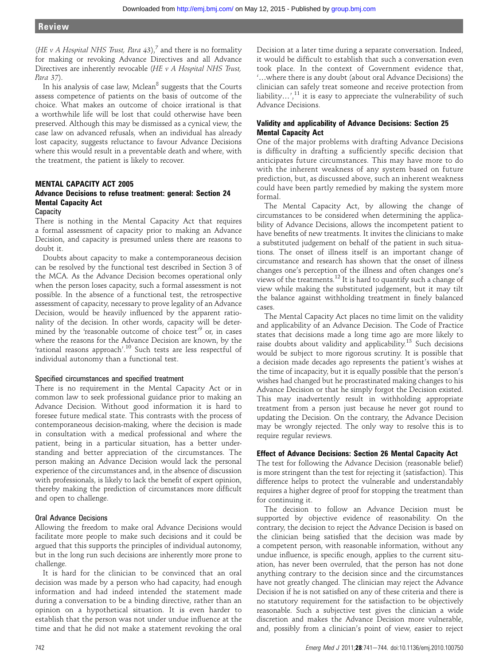(HE v A Hospital NHS Trust, Para 43),<sup>7</sup> and there is no formality for making or revoking Advance Directives and all Advance Directives are inherently revocable (HE v A Hospital NHS Trust, Para 37).

In his analysis of case law, Mclean $8$  suggests that the Courts assess competence of patients on the basis of outcome of the choice. What makes an outcome of choice irrational is that a worthwhile life will be lost that could otherwise have been preserved. Although this may be dismissed as a cynical view, the case law on advanced refusals, when an individual has already lost capacity, suggests reluctance to favour Advance Decisions where this would result in a preventable death and where, with the treatment, the patient is likely to recover.

# MENTAL CAPACITY ACT 2005 Advance Decisions to refuse treatment: general: Section 24 Mental Capacity Act

#### **Capacity**

There is nothing in the Mental Capacity Act that requires a formal assessment of capacity prior to making an Advance Decision, and capacity is presumed unless there are reasons to doubt it.

Doubts about capacity to make a contemporaneous decision can be resolved by the functional test described in Section 3 of the MCA. As the Advance Decision becomes operational only when the person loses capacity, such a formal assessment is not possible. In the absence of a functional test, the retrospective assessment of capacity, necessary to prove legality of an Advance Decision, would be heavily influenced by the apparent rationality of the decision. In other words, capacity will be determined by the 'reasonable outcome of choice test'<sup>9</sup> or, in cases where the reasons for the Advance Decision are known, by the 'rational reasons approach'. <sup>10</sup> Such tests are less respectful of individual autonomy than a functional test.

#### Specified circumstances and specified treatment

There is no requirement in the Mental Capacity Act or in common law to seek professional guidance prior to making an Advance Decision. Without good information it is hard to foresee future medical state. This contrasts with the process of contemporaneous decision-making, where the decision is made in consultation with a medical professional and where the patient, being in a particular situation, has a better understanding and better appreciation of the circumstances. The person making an Advance Decision would lack the personal experience of the circumstances and, in the absence of discussion with professionals, is likely to lack the benefit of expert opinion, thereby making the prediction of circumstances more difficult and open to challenge.

# Oral Advance Decisions

Allowing the freedom to make oral Advance Decisions would facilitate more people to make such decisions and it could be argued that this supports the principles of individual autonomy, but in the long run such decisions are inherently more prone to challenge.

It is hard for the clinician to be convinced that an oral decision was made by a person who had capacity, had enough information and had indeed intended the statement made during a conversation to be a binding directive, rather than an opinion on a hypothetical situation. It is even harder to establish that the person was not under undue influence at the time and that he did not make a statement revoking the oral

Decision at a later time during a separate conversation. Indeed, it would be difficult to establish that such a conversation even took place. In the context of Government evidence that, '.where there is any doubt (about oral Advance Decisions) the clinician can safely treat someone and receive protection from liability...',<sup>11</sup> it is easy to appreciate the vulnerability of such Advance Decisions.

### Validity and applicability of Advance Decisions: Section 25 Mental Capacity Act

One of the major problems with drafting Advance Decisions is difficulty in drafting a sufficiently specific decision that anticipates future circumstances. This may have more to do with the inherent weakness of any system based on future prediction, but, as discussed above, such an inherent weakness could have been partly remedied by making the system more formal.

The Mental Capacity Act, by allowing the change of circumstances to be considered when determining the applicability of Advance Decisions, allows the incompetent patient to have benefits of new treatments. It invites the clinicians to make a substituted judgement on behalf of the patient in such situations. The onset of illness itself is an important change of circumstance and research has shown that the onset of illness changes one's perception of the illness and often changes one's views of the treatments.<sup>12</sup> It is hard to quantify such a change of view while making the substituted judgement, but it may tilt the balance against withholding treatment in finely balanced cases.

The Mental Capacity Act places no time limit on the validity and applicability of an Advance Decision. The Code of Practice states that decisions made a long time ago are more likely to raise doubts about validity and applicability.<sup>13</sup> Such decisions would be subject to more rigorous scrutiny. It is possible that a decision made decades ago represents the patient's wishes at the time of incapacity, but it is equally possible that the person's wishes had changed but he procrastinated making changes to his Advance Decision or that he simply forgot the Decision existed. This may inadvertently result in withholding appropriate treatment from a person just because he never got round to updating the Decision. On the contrary, the Advance Decision may be wrongly rejected. The only way to resolve this is to require regular reviews.

#### Effect of Advance Decisions: Section 26 Mental Capacity Act

The test for following the Advance Decision (reasonable belief) is more stringent than the test for rejecting it (satisfaction). This difference helps to protect the vulnerable and understandably requires a higher degree of proof for stopping the treatment than for continuing it.

The decision to follow an Advance Decision must be supported by objective evidence of reasonability. On the contrary, the decision to reject the Advance Decision is based on the clinician being satisfied that the decision was made by a competent person, with reasonable information, without any undue influence, is specific enough, applies to the current situation, has never been overruled, that the person has not done anything contrary to the decision since and the circumstances have not greatly changed. The clinician may reject the Advance Decision if he is not satisfied on any of these criteria and there is no statutory requirement for the satisfaction to be objectively reasonable. Such a subjective test gives the clinician a wide discretion and makes the Advance Decision more vulnerable, and, possibly from a clinician's point of view, easier to reject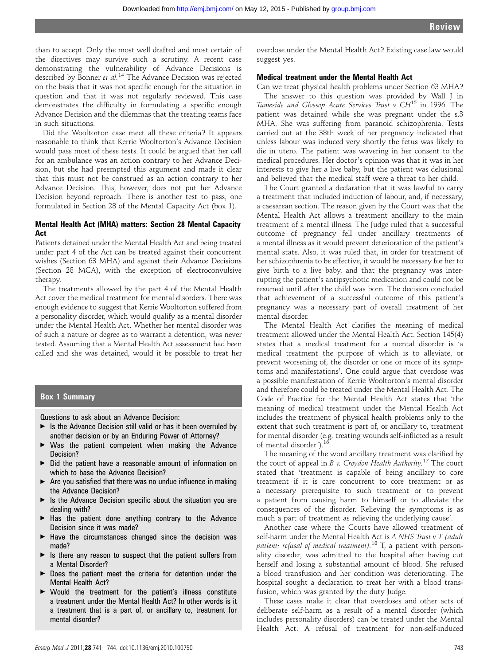than to accept. Only the most well drafted and most certain of the directives may survive such a scrutiny. A recent case demonstrating the vulnerability of Advance Decisions is described by Bonner et al.<sup>14</sup> The Advance Decision was rejected on the basis that it was not specific enough for the situation in question and that it was not regularly reviewed. This case demonstrates the difficulty in formulating a specific enough Advance Decision and the dilemmas that the treating teams face in such situations.

Did the Wooltorton case meet all these criteria? It appears reasonable to think that Kerrie Wooltorton's Advance Decision would pass most of these tests. It could be argued that her call for an ambulance was an action contrary to her Advance Decision, but she had preempted this argument and made it clear that this must not be construed as an action contrary to her Advance Decision. This, however, does not put her Advance Decision beyond reproach. There is another test to pass, one formulated in Section 28 of the Mental Capacity Act (box 1).

# Mental Health Act (MHA) matters: Section 28 Mental Capacity Act

Patients detained under the Mental Health Act and being treated under part 4 of the Act can be treated against their concurrent wishes (Section 63 MHA) and against their Advance Decisions (Section 28 MCA), with the exception of electroconvulsive therapy.

The treatments allowed by the part 4 of the Mental Health Act cover the medical treatment for mental disorders. There was enough evidence to suggest that Kerrie Wooltorton suffered from a personality disorder, which would qualify as a mental disorder under the Mental Health Act. Whether her mental disorder was of such a nature or degree as to warrant a detention, was never tested. Assuming that a Mental Health Act assessment had been called and she was detained, would it be possible to treat her

# Box 1 Summary

Questions to ask about an Advance Decision:

- $\triangleright$  Is the Advance Decision still valid or has it been overruled by another decision or by an Enduring Power of Attorney?
- $\triangleright$  Was the patient competent when making the Advance Decision?
- ▶ Did the patient have a reasonable amount of information on which to base the Advance Decision?
- $\triangleright$  Are you satisfied that there was no undue influence in making the Advance Decision?
- $\blacktriangleright$  Is the Advance Decision specific about the situation you are dealing with?
- ▶ Has the patient done anything contrary to the Advance Decision since it was made?
- $\blacktriangleright$  Have the circumstances changed since the decision was made?
- $\blacktriangleright$  Is there any reason to suspect that the patient suffers from a Mental Disorder?
- ▶ Does the patient meet the criteria for detention under the Mental Health Act?
- $\triangleright$  Would the treatment for the patient's illness constitute a treatment under the Mental Health Act? In other words is it a treatment that is a part of, or ancillary to, treatment for mental disorder?

overdose under the Mental Health Act? Existing case law would suggest yes.

### Medical treatment under the Mental Health Act

Can we treat physical health problems under Section 63 MHA? The answer to this question was provided by Wall J in Tameside and Glossop Acute Services Trust  $v$  CH<sup>15</sup> in 1996. The patient was detained while she was pregnant under the s.3 MHA. She was suffering from paranoid schizophrenia. Tests carried out at the 38th week of her pregnancy indicated that unless labour was induced very shortly the fetus was likely to die in utero. The patient was wavering in her consent to the medical procedures. Her doctor's opinion was that it was in her interests to give her a live baby, but the patient was delusional and believed that the medical staff were a threat to her child.

The Court granted a declaration that it was lawful to carry a treatment that included induction of labour, and, if necessary, a caesarean section. The reason given by the Court was that the Mental Health Act allows a treatment ancillary to the main treatment of a mental illness. The Judge ruled that a successful outcome of pregnancy fell under ancillary treatments of a mental illness as it would prevent deterioration of the patient's mental state. Also, it was ruled that, in order for treatment of her schizophrenia to be effective, it would be necessary for her to give birth to a live baby, and that the pregnancy was interrupting the patient's antipsychotic medication and could not be resumed until after the child was born. The decision concluded that achievement of a successful outcome of this patient's pregnancy was a necessary part of overall treatment of her mental disorder.

The Mental Health Act clarifies the meaning of medical treatment allowed under the Mental Health Act. Section 145(4) states that a medical treatment for a mental disorder is 'a medical treatment the purpose of which is to alleviate, or prevent worsening of, the disorder or one or more of its symptoms and manifestations'. One could argue that overdose was a possible manifestation of Kerrie Wooltorton's mental disorder and therefore could be treated under the Mental Health Act. The Code of Practice for the Mental Health Act states that 'the meaning of medical treatment under the Mental Health Act includes the treatment of physical health problems only to the extent that such treatment is part of, or ancillary to, treatment for mental disorder (e.g. treating wounds self-inflicted as a result of mental disorder').<sup>1</sup>

The meaning of the word ancillary treatment was clarified by the court of appeal in  $B$  v. Croydon Health Authority.<sup>17</sup> The court stated that 'treatment is capable of being ancillary to core treatment if it is care concurrent to core treatment or as a necessary prerequisite to such treatment or to prevent a patient from causing harm to himself or to alleviate the consequences of the disorder. Relieving the symptoms is as much a part of treatment as relieving the underlying cause'.

Another case where the Courts have allowed treatment of self-harm under the Mental Health Act is A NHS Trust v T (adult patient: refusal of medical treatment).<sup>18</sup> T, a patient with personality disorder, was admitted to the hospital after having cut herself and losing a substantial amount of blood. She refused a blood transfusion and her condition was deteriorating. The hospital sought a declaration to treat her with a blood transfusion, which was granted by the duty Judge.

These cases make it clear that overdoses and other acts of deliberate self-harm as a result of a mental disorder (which includes personality disorders) can be treated under the Mental Health Act. A refusal of treatment for non-self-induced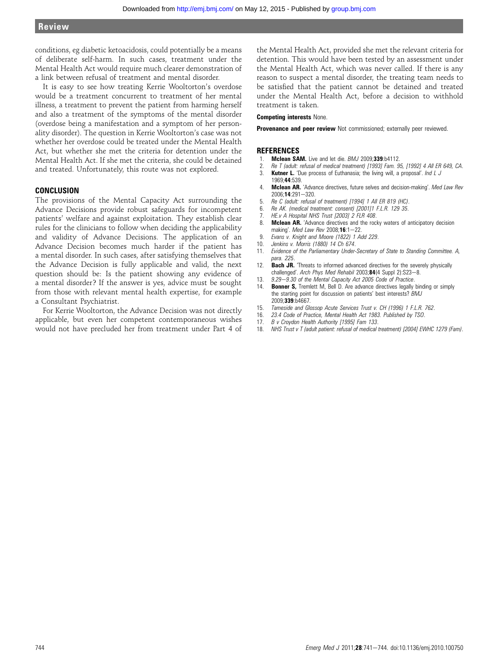conditions, eg diabetic ketoacidosis, could potentially be a means of deliberate self-harm. In such cases, treatment under the Mental Health Act would require much clearer demonstration of a link between refusal of treatment and mental disorder.

It is easy to see how treating Kerrie Wooltorton's overdose would be a treatment concurrent to treatment of her mental illness, a treatment to prevent the patient from harming herself and also a treatment of the symptoms of the mental disorder (overdose being a manifestation and a symptom of her personality disorder). The question in Kerrie Wooltorton's case was not whether her overdose could be treated under the Mental Health Act, but whether she met the criteria for detention under the Mental Health Act. If she met the criteria, she could be detained and treated. Unfortunately, this route was not explored.

#### **CONCLUSION**

The provisions of the Mental Capacity Act surrounding the Advance Decisions provide robust safeguards for incompetent patients' welfare and against exploitation. They establish clear rules for the clinicians to follow when deciding the applicability and validity of Advance Decisions. The application of an Advance Decision becomes much harder if the patient has a mental disorder. In such cases, after satisfying themselves that the Advance Decision is fully applicable and valid, the next question should be: Is the patient showing any evidence of a mental disorder? If the answer is yes, advice must be sought from those with relevant mental health expertise, for example a Consultant Psychiatrist.

For Kerrie Wooltorton, the Advance Decision was not directly applicable, but even her competent contemporaneous wishes would not have precluded her from treatment under Part 4 of the Mental Health Act, provided she met the relevant criteria for detention. This would have been tested by an assessment under the Mental Health Act, which was never called. If there is any reason to suspect a mental disorder, the treating team needs to be satisfied that the patient cannot be detained and treated under the Mental Health Act, before a decision to withhold treatment is taken.

#### Competing interests None.

Provenance and peer review Not commissioned; externally peer reviewed.

### **REFERENCES**

- Mclean SAM. Live and let die. BMJ 2009;339:b4112.
- 2. Re T (adult: refusal of medical treatment)  $[1993]$  Fam. 95,  $[1992]$  4 All ER 649, CA.<br>3 **Kutner L** 'Due process of Euthanasia: the living will a proposal' *lod L. L*
- **Kutner L.** 'Due process of Euthanasia; the living will, a proposal'. Ind L J 1969;44:539.
- 4. Mclean AR. 'Advance directives, future selves and decision-making'. Med Law Rev 2006:14:291-320.
- 5. Re C (adult: refusal of treatment) [1994] 1 All ER 819 (HC).
- 6. Re AK. (medical treatment: consent) [2001]1 F.L.R. 129 35.
- 7. HE.v A Hospital NHS Trust [2003] 2 FLR 408.
- 8. Mclean AR. 'Advance directives and the rocky waters of anticipatory decision making'. Med Law Rev 2008;16:1-22.
- 9. Evans v. Knight and Moore (1822) 1 Add 229.<br>10. Jenkins v. Morris (1880) 14 Ch 674.
- Jenkins v. Morris (1880) 14 Ch 674.
- 11. Evidence of the Parliamentary Under-Secretary of State to Standing Committee. A, para. 225.
- 12. **Bach JR.** 'Threats to informed advanced directives for the severely physically challenged'. Arch Phys Med Rehabil 2003;84(4 Suppl 2):S23-8.
- 13. 9.29-9.30 of the Mental Capacity Act 2005 Code of Practice.
- 14. **Bonner S,** Tremlett M, Bell D. Are advance directives legally binding or simply the starting point for discussion on patients' best interests? BMJ 2009;339:b4667.
- 15. Tameside and Glossop Acute Services Trust v. CH (1996) 1 F.L.R. 762.<br>16. 23.4 Code of Practice Mental Health Act 1983. Published by TSO
- 23.4 Code of Practice, Mental Health Act 1983. Published by TSO.
- 17. B v Croydon Health Authority [1995] Fam 133.
- 18. NHS Trust v T (adult patient: refusal of medical treatment) [2004] EWHC 1279 (Fam).